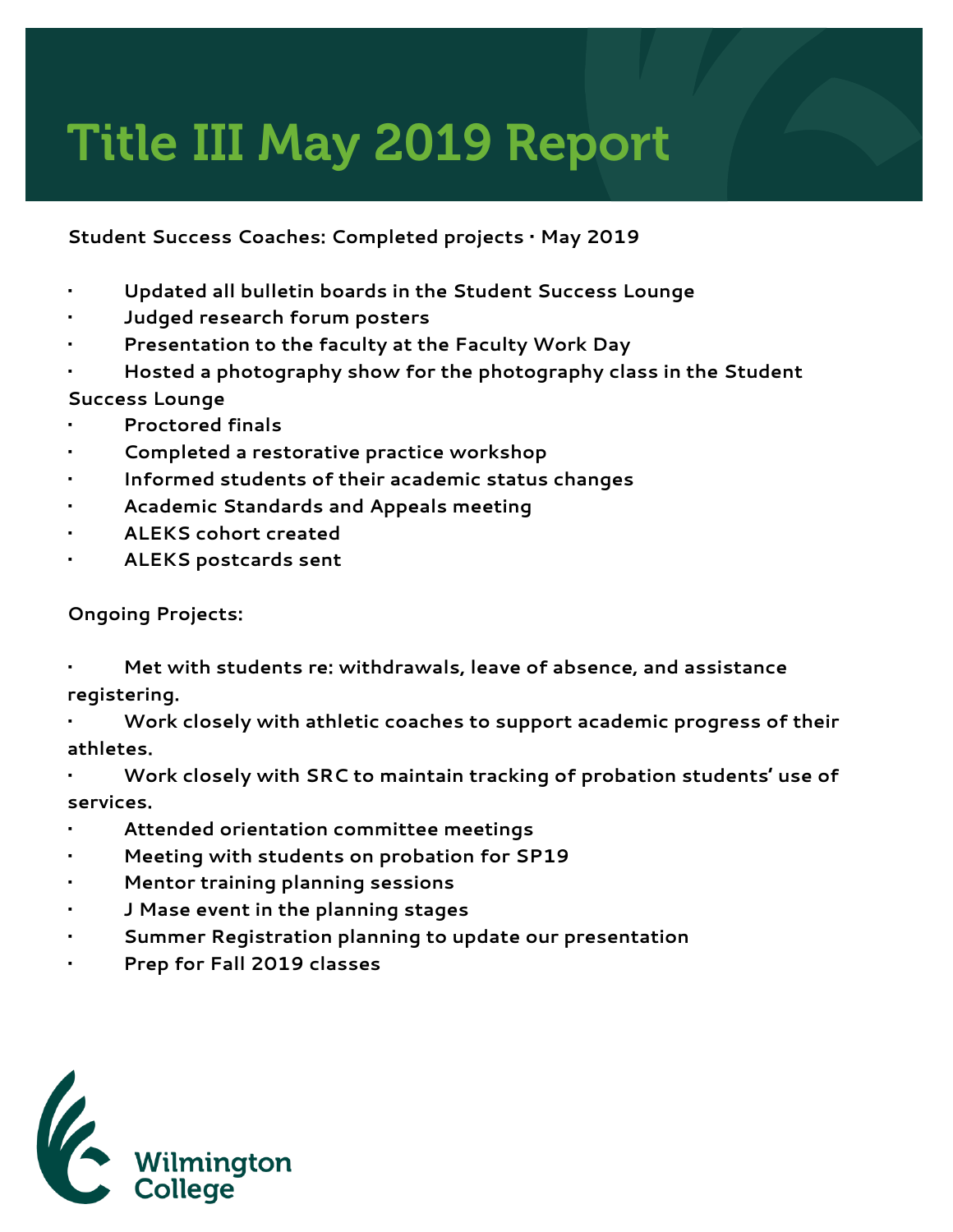## Title III May 2019 Report

## **Student Success Coaches: Completed projects • May 2019**

- **• Updated all bulletin boards in the Student Success Lounge**
- **• Judged research forum posters**
- **• Presentation to the faculty at the Faculty Work Day**
- **• Hosted a photography show for the photography class in the Student Success Lounge**
- **• Proctored finals**
- **• Completed a restorative practice workshop**
- **• Informed students of their academic status changes**
- **• Academic Standards and Appeals meeting**
- **• ALEKS cohort created**
- **• ALEKS postcards sent**

## **Ongoing Projects:**

- **• Met with students re: withdrawals, leave of absence, and assistance registering.**
- **• Work closely with athletic coaches to support academic progress of their athletes.**
- **• Work closely with SRC to maintain tracking of probation students' use of services.**
- **• Attended orientation committee meetings**
- **• Meeting with students on probation for SP19**
- **• Mentor training planning sessions**
- **• J Mase event in the planning stages**
- **• Summer Registration planning to update our presentation**
- **• Prep for Fall 2019 classes**

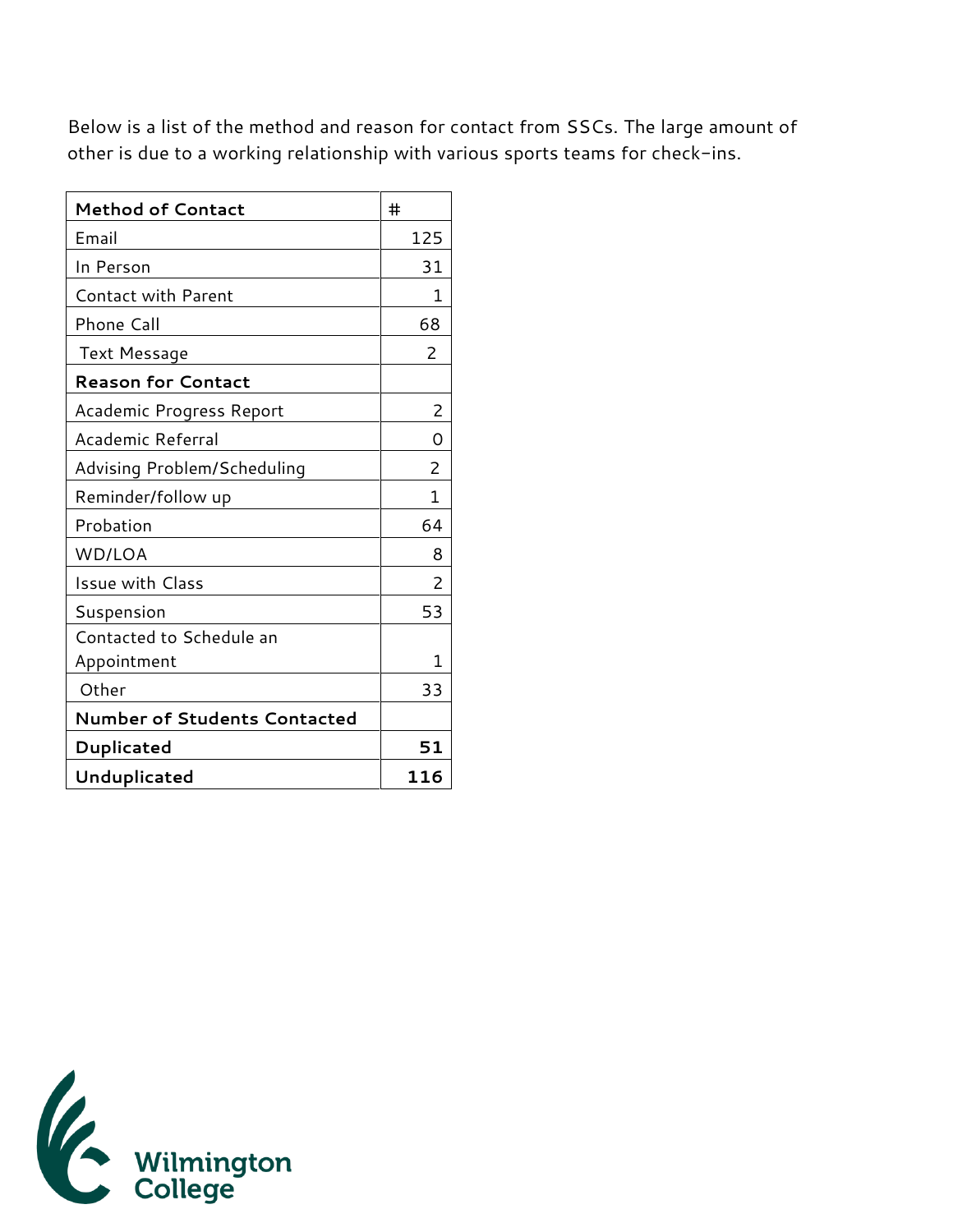Below is a list of the method and reason for contact from SSCs. The large amount of other is due to a working relationship with various sports teams for check-ins.

| <b>Method of Contact</b>            | #   |
|-------------------------------------|-----|
| Email                               | 125 |
| In Person                           | 31  |
| Contact with Parent                 | 1   |
| Phone Call                          | 68  |
| Text Message                        | 2   |
| <b>Reason for Contact</b>           |     |
| Academic Progress Report            | 2   |
| Academic Referral                   | Ω   |
| Advising Problem/Scheduling         | 2   |
| Reminder/follow up                  | 1   |
| Probation                           | 64  |
| WD/LOA                              | 8   |
| <b>Issue with Class</b>             | 2   |
| Suspension                          | 53  |
| Contacted to Schedule an            |     |
| Appointment                         | 1   |
| Other                               | 33  |
| <b>Number of Students Contacted</b> |     |
| Duplicated                          | 51  |
| Unduplicated                        | 116 |